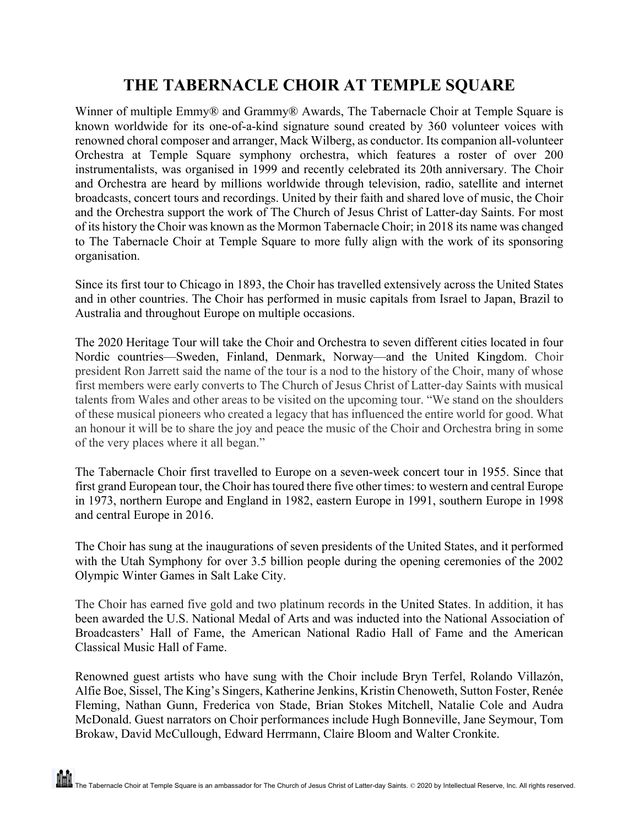## **THE TABERNACLE CHOIR AT TEMPLE SQUARE**

Winner of multiple Emmy® and Grammy® Awards, The Tabernacle Choir at Temple Square is known worldwide for its one-of-a-kind signature sound created by 360 volunteer voices with renowned choral composer and arranger, Mack Wilberg, as conductor. Its companion all-volunteer Orchestra at Temple Square symphony orchestra, which features a roster of over 200 instrumentalists, was organised in 1999 and recently celebrated its 20th anniversary. The Choir and Orchestra are heard by millions worldwide through television, radio, satellite and internet broadcasts, concert tours and recordings. United by their faith and shared love of music, the Choir and the Orchestra support the work of The Church of Jesus Christ of Latter-day Saints. For most of its history the Choir was known as the Mormon Tabernacle Choir; in 2018 its name was changed to The Tabernacle Choir at Temple Square to more fully align with the work of its sponsoring organisation.

Since its first tour to Chicago in 1893, the Choir has travelled extensively across the United States and in other countries. The Choir has performed in music capitals from Israel to Japan, Brazil to Australia and throughout Europe on multiple occasions.

The 2020 Heritage Tour will take the Choir and Orchestra to seven different cities located in four Nordic countries—Sweden, Finland, Denmark, Norway—and the United Kingdom. Choir president Ron Jarrett said the name of the tour is a nod to the history of the Choir, many of whose first members were early converts to The Church of Jesus Christ of Latter-day Saints with musical talents from Wales and other areas to be visited on the upcoming tour. "We stand on the shoulders of these musical pioneers who created a legacy that has influenced the entire world for good. What an honour it will be to share the joy and peace the music of the Choir and Orchestra bring in some of the very places where it all began."

The Tabernacle Choir first travelled to Europe on a seven-week concert tour in 1955. Since that first grand European tour, the Choir has toured there five other times: to western and central Europe in 1973, northern Europe and England in 1982, eastern Europe in 1991, southern Europe in 1998 and central Europe in 2016.

The Choir has sung at the inaugurations of seven presidents of the United States, and it performed with the Utah Symphony for over 3.5 billion people during the opening ceremonies of the 2002 Olympic Winter Games in Salt Lake City.

The Choir has earned five gold and two platinum records in the United States. In addition, it has been awarded the U.S. National Medal of Arts and was inducted into the National Association of Broadcasters' Hall of Fame, the American National Radio Hall of Fame and the American Classical Music Hall of Fame.

Renowned guest artists who have sung with the Choir include Bryn Terfel, Rolando Villazón, Alfie Boe, Sissel, The King's Singers, Katherine Jenkins, Kristin Chenoweth, Sutton Foster, Renée Fleming, Nathan Gunn, Frederica von Stade, Brian Stokes Mitchell, Natalie Cole and Audra McDonald. Guest narrators on Choir performances include Hugh Bonneville, Jane Seymour, Tom Brokaw, David McCullough, Edward Herrmann, Claire Bloom and Walter Cronkite.